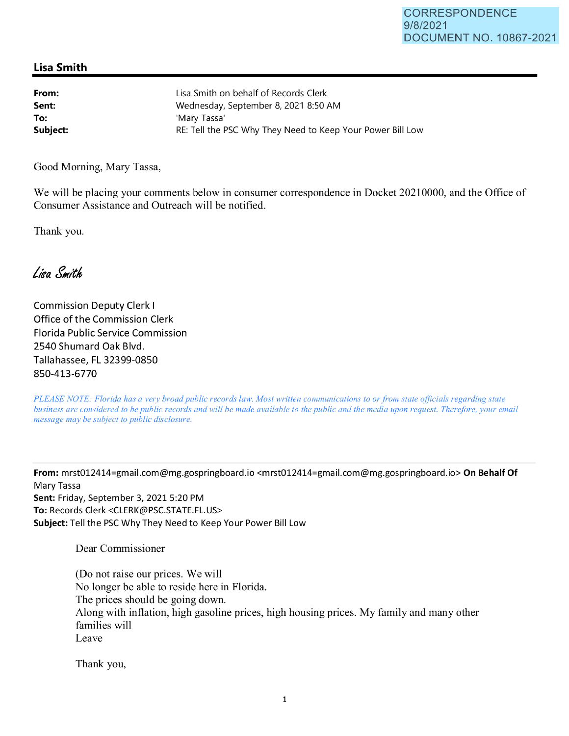## **Lisa Smith**

**From: Sent: To:**  Lisa Smith on behalf of Records Clerk Wednesday, September 8, 2021 8:50 **AM**  'Mary Tassa' **Subject: RE: Tell the PSC Why They Need to Keep Your Power Bill Low** 

Good Morning, Mary Tassa,

We will be placing your comments below in consumer correspondence **in** Docket 20210000, and the Office of Consumer Assistance and Outreach will be notified.

Thank you.

Lisa Smith

Commission Deputy Clerk I Office of the Commission Clerk Florida Public Service Commission 2540 Shumard Oak Blvd. Tallahassee, FL 32399-0850 850-413-6770

*PLEASE NOTE: Florida has a very broad public records law. Most written communications to or from state officials regarding state business are considered to be public records and will be made available to the public and the media upon request. Therefore, your email message may be subject to public disclosure.* 

**From:** mrst012414=gmail.com@mg.gospringboard.io <mrst012414=gmail.com@mg.gospringboard.io> **On Behalf Of**  Mary Tassa **Sent:** Friday, September 3, 2021 5:20 PM **To:** Records Clerk <CLERK@PSC.STATE.FL.US> **Subject:** Tell the PSC Why They Need to Keep Your Power Bill Low

Dear Commissioner

(Do not raise our prices. We will No longer be able to reside here in Florida. The prices should be going down. Along with inflation, high gasoline prices, high housing prices. My family and many other families will Leave

Thank you,